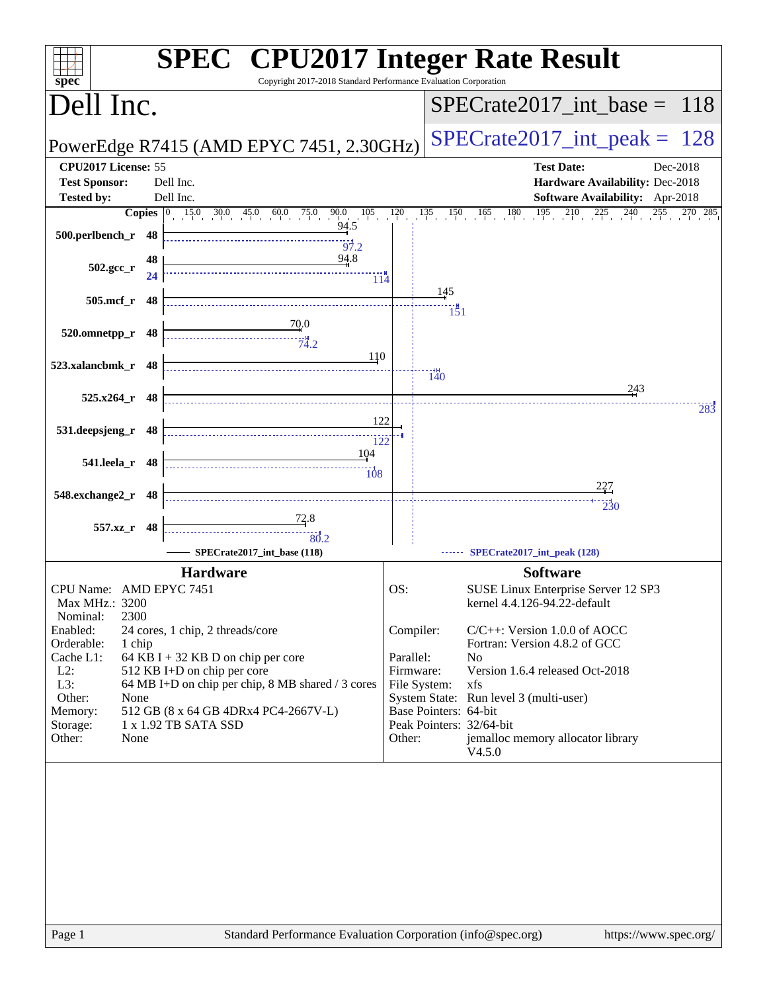| $SPECrate2017\_int\_peak = 128$<br>PowerEdge R7415 (AMD EPYC 7451, 2.30GHz)<br><b>Test Date:</b><br>Dec-2018<br>Hardware Availability: Dec-2018<br>Software Availability: Apr-2018<br>$\frac{135}{15}$ $\frac{150}{15}$ $\frac{165}{15}$ $\frac{180}{15}$ $\frac{195}{15}$ $\frac{210}{15}$ $\frac{225}{15}$ $\frac{240}{15}$ $\frac{255}{15}$ $\frac{270}{15}$ $\frac{285}{15}$<br>145<br>$\frac{1}{151}$<br>140<br>243<br>283<br>227<br>$\overline{230}$ |
|------------------------------------------------------------------------------------------------------------------------------------------------------------------------------------------------------------------------------------------------------------------------------------------------------------------------------------------------------------------------------------------------------------------------------------------------------------|
|                                                                                                                                                                                                                                                                                                                                                                                                                                                            |
|                                                                                                                                                                                                                                                                                                                                                                                                                                                            |
|                                                                                                                                                                                                                                                                                                                                                                                                                                                            |
|                                                                                                                                                                                                                                                                                                                                                                                                                                                            |
|                                                                                                                                                                                                                                                                                                                                                                                                                                                            |
|                                                                                                                                                                                                                                                                                                                                                                                                                                                            |
|                                                                                                                                                                                                                                                                                                                                                                                                                                                            |
|                                                                                                                                                                                                                                                                                                                                                                                                                                                            |
|                                                                                                                                                                                                                                                                                                                                                                                                                                                            |
|                                                                                                                                                                                                                                                                                                                                                                                                                                                            |
|                                                                                                                                                                                                                                                                                                                                                                                                                                                            |
|                                                                                                                                                                                                                                                                                                                                                                                                                                                            |
|                                                                                                                                                                                                                                                                                                                                                                                                                                                            |
|                                                                                                                                                                                                                                                                                                                                                                                                                                                            |
|                                                                                                                                                                                                                                                                                                                                                                                                                                                            |
|                                                                                                                                                                                                                                                                                                                                                                                                                                                            |
|                                                                                                                                                                                                                                                                                                                                                                                                                                                            |
| SPECrate2017_int_peak (128)                                                                                                                                                                                                                                                                                                                                                                                                                                |
| <b>Software</b>                                                                                                                                                                                                                                                                                                                                                                                                                                            |
| SUSE Linux Enterprise Server 12 SP3<br>kernel 4.4.126-94.22-default                                                                                                                                                                                                                                                                                                                                                                                        |
| Compiler:<br>$C/C++$ : Version 1.0.0 of AOCC                                                                                                                                                                                                                                                                                                                                                                                                               |
| Fortran: Version 4.8.2 of GCC<br>Parallel:<br>N <sub>o</sub>                                                                                                                                                                                                                                                                                                                                                                                               |
| Firmware:<br>Version 1.6.4 released Oct-2018                                                                                                                                                                                                                                                                                                                                                                                                               |
| File System:<br>xfs<br>System State: Run level 3 (multi-user)                                                                                                                                                                                                                                                                                                                                                                                              |
| Base Pointers: 64-bit<br>Peak Pointers: 32/64-bit                                                                                                                                                                                                                                                                                                                                                                                                          |
| Other:<br>jemalloc memory allocator library<br>V4.5.0                                                                                                                                                                                                                                                                                                                                                                                                      |
|                                                                                                                                                                                                                                                                                                                                                                                                                                                            |
|                                                                                                                                                                                                                                                                                                                                                                                                                                                            |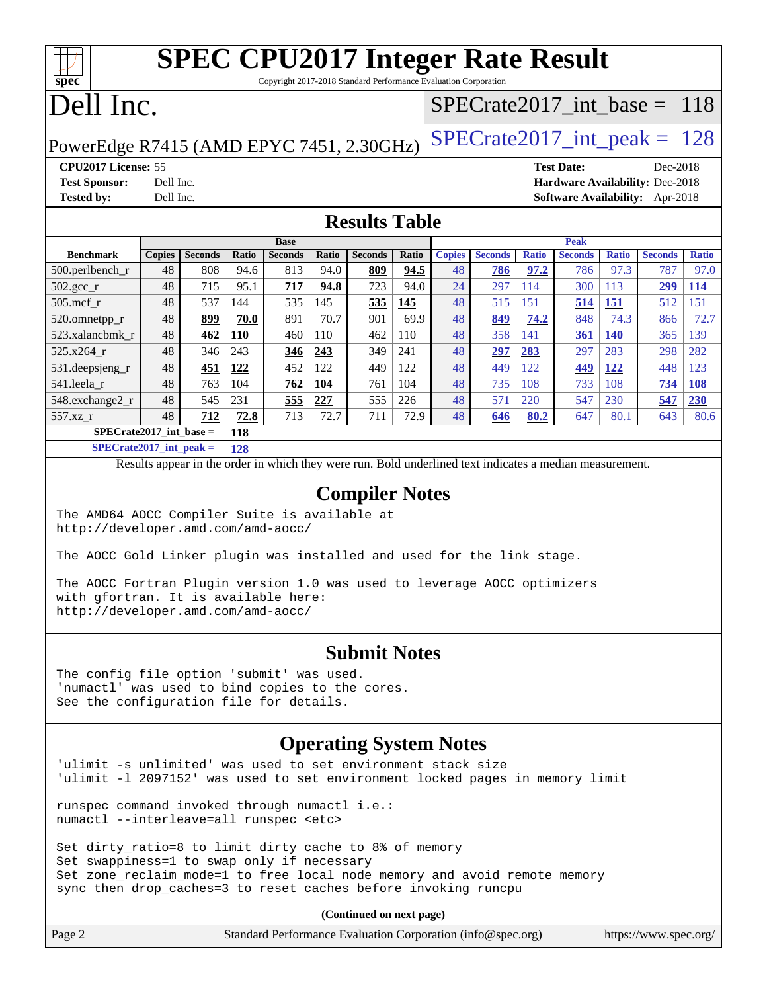## **[SPEC CPU2017 Integer Rate Result](http://www.spec.org/auto/cpu2017/Docs/result-fields.html#SPECCPU2017IntegerRateResult)** Copyright 2017-2018 Standard Performance Evaluation Corporation

## Dell Inc.

**[spec](http://www.spec.org/)**

 $\pm\pm\prime$ 

## [SPECrate2017\\_int\\_base =](http://www.spec.org/auto/cpu2017/Docs/result-fields.html#SPECrate2017intbase) 118

PowerEdge R7415 (AMD EPYC 7451, 2.30GHz)  $\text{SPECrate2017\_int\_peak} = 128$ 

**[CPU2017 License:](http://www.spec.org/auto/cpu2017/Docs/result-fields.html#CPU2017License)** 55 **[Test Date:](http://www.spec.org/auto/cpu2017/Docs/result-fields.html#TestDate)** Dec-2018 **[Test Sponsor:](http://www.spec.org/auto/cpu2017/Docs/result-fields.html#TestSponsor)** Dell Inc. **[Hardware Availability:](http://www.spec.org/auto/cpu2017/Docs/result-fields.html#HardwareAvailability)** Dec-2018 **[Tested by:](http://www.spec.org/auto/cpu2017/Docs/result-fields.html#Testedby)** Dell Inc. **[Software Availability:](http://www.spec.org/auto/cpu2017/Docs/result-fields.html#SoftwareAvailability)** Apr-2018

### **[Results Table](http://www.spec.org/auto/cpu2017/Docs/result-fields.html#ResultsTable)**

|                           | <b>Base</b> |                |              |                |              | <b>Peak</b>    |       |               |                |              |                |              |                |              |
|---------------------------|-------------|----------------|--------------|----------------|--------------|----------------|-------|---------------|----------------|--------------|----------------|--------------|----------------|--------------|
| <b>Benchmark</b>          | Copies      | <b>Seconds</b> | <b>Ratio</b> | <b>Seconds</b> | <b>Ratio</b> | <b>Seconds</b> | Ratio | <b>Copies</b> | <b>Seconds</b> | <b>Ratio</b> | <b>Seconds</b> | <b>Ratio</b> | <b>Seconds</b> | <b>Ratio</b> |
| $500.$ perlbench_r        | 48          | 808            | 94.6         | 813            | 94.0         | 809            | 94.5  | 48            | 786            | 97.2         | 786            | 97.3         | 787            | 97.0         |
| $502.\text{gcc}_r$        | 48          | 715            | 95.1         | 717            | 94.8         | 723            | 94.0  | 24            | 297            | 114          | 300            | 113          | 299            | <b>114</b>   |
| $505$ .mcf r              | 48          | 537            | 144          | 535            | 145          | 535            | 145   | 48            | 515            | 151          | 514            | 151          | 512            | 151          |
| 520.omnetpp_r             | 48          | 899            | 70.0         | 891            | 70.7         | 901            | 69.9  | 48            | 849            | 74.2         | 848            | 74.3         | 866            | 72.7         |
| 523.xalancbmk r           | 48          | 462            | 110          | 460            | 110          | 462            | 110   | 48            | 358            | 141          | 361            | <b>140</b>   | 365            | 139          |
| 525.x264 r                | 48          | 346            | 243          | 346            | 243          | 349            | 241   | 48            | <u>297</u>     | 283          | 297            | 283          | 298            | 282          |
| 531.deepsjeng_r           | 48          | 451            | 122          | 452            | 122          | 449            | 122   | 48            | 449            | 122          | 449            | 122          | 448            | 123          |
| 541.leela r               | 48          | 763            | 104          | 762            | 104          | 761            | 104   | 48            | 735            | 108          | 733            | 108          | 734            | <b>108</b>   |
| 548.exchange2_r           | 48          | 545            | 231          | 555            | 227          | 555            | 226   | 48            | 571            | 220          | 547            | 230          | 547            | 230          |
| 557.xz r                  | 48          | 712            | 72.8         | 713            | 72.7         | 711            | 72.9  | 48            | 646            | 80.2         | 647            | 80.1         | 643            | 80.6         |
| $SPECrate2017$ int base = |             |                | 118          |                |              |                |       |               |                |              |                |              |                |              |

**[SPECrate2017\\_int\\_peak =](http://www.spec.org/auto/cpu2017/Docs/result-fields.html#SPECrate2017intpeak) 128**

Results appear in the [order in which they were run.](http://www.spec.org/auto/cpu2017/Docs/result-fields.html#RunOrder) Bold underlined text [indicates a median measurement.](http://www.spec.org/auto/cpu2017/Docs/result-fields.html#Median)

#### **[Compiler Notes](http://www.spec.org/auto/cpu2017/Docs/result-fields.html#CompilerNotes)**

The AMD64 AOCC Compiler Suite is available at <http://developer.amd.com/amd-aocc/>

The AOCC Gold Linker plugin was installed and used for the link stage.

The AOCC Fortran Plugin version 1.0 was used to leverage AOCC optimizers with gfortran. It is available here: <http://developer.amd.com/amd-aocc/>

### **[Submit Notes](http://www.spec.org/auto/cpu2017/Docs/result-fields.html#SubmitNotes)**

The config file option 'submit' was used. 'numactl' was used to bind copies to the cores. See the configuration file for details.

### **[Operating System Notes](http://www.spec.org/auto/cpu2017/Docs/result-fields.html#OperatingSystemNotes)**

'ulimit -s unlimited' was used to set environment stack size 'ulimit -l 2097152' was used to set environment locked pages in memory limit

runspec command invoked through numactl i.e.: numactl --interleave=all runspec <etc>

Set dirty\_ratio=8 to limit dirty cache to 8% of memory Set swappiness=1 to swap only if necessary Set zone\_reclaim\_mode=1 to free local node memory and avoid remote memory sync then drop\_caches=3 to reset caches before invoking runcpu

**(Continued on next page)**

| Page 2 | Standard Performance Evaluation Corporation (info@spec.org) | https://www.spec.org/ |
|--------|-------------------------------------------------------------|-----------------------|
|--------|-------------------------------------------------------------|-----------------------|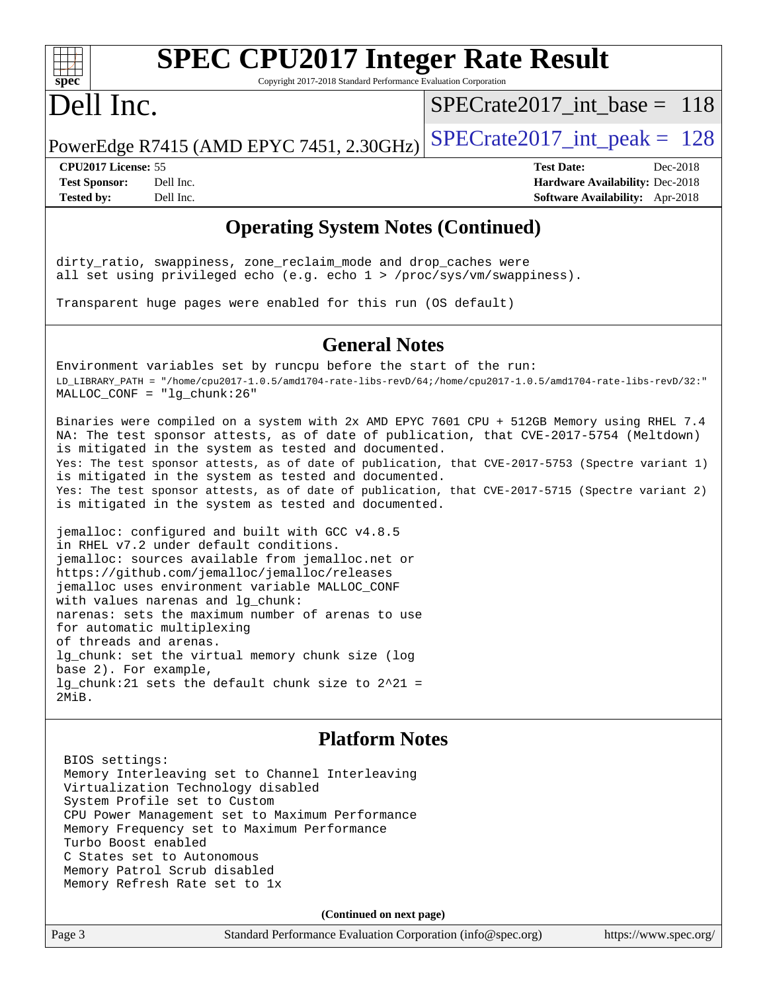

# **[SPEC CPU2017 Integer Rate Result](http://www.spec.org/auto/cpu2017/Docs/result-fields.html#SPECCPU2017IntegerRateResult)**

Copyright 2017-2018 Standard Performance Evaluation Corporation

## Dell Inc.

[SPECrate2017\\_int\\_base =](http://www.spec.org/auto/cpu2017/Docs/result-fields.html#SPECrate2017intbase) 118

PowerEdge R7415 (AMD EPYC 7451, 2.30GHz)  $\text{SPECrate2017\_int\_peak} = 128$ 

**[CPU2017 License:](http://www.spec.org/auto/cpu2017/Docs/result-fields.html#CPU2017License)** 55 **[Test Date:](http://www.spec.org/auto/cpu2017/Docs/result-fields.html#TestDate)** Dec-2018

**[Test Sponsor:](http://www.spec.org/auto/cpu2017/Docs/result-fields.html#TestSponsor)** Dell Inc. **[Hardware Availability:](http://www.spec.org/auto/cpu2017/Docs/result-fields.html#HardwareAvailability)** Dec-2018 **[Tested by:](http://www.spec.org/auto/cpu2017/Docs/result-fields.html#Testedby)** Dell Inc. **[Software Availability:](http://www.spec.org/auto/cpu2017/Docs/result-fields.html#SoftwareAvailability)** Apr-2018

### **[Operating System Notes \(Continued\)](http://www.spec.org/auto/cpu2017/Docs/result-fields.html#OperatingSystemNotes)**

dirty\_ratio, swappiness, zone\_reclaim\_mode and drop\_caches were all set using privileged echo (e.g. echo 1 > /proc/sys/vm/swappiness).

Transparent huge pages were enabled for this run (OS default)

#### **[General Notes](http://www.spec.org/auto/cpu2017/Docs/result-fields.html#GeneralNotes)**

Environment variables set by runcpu before the start of the run: LD\_LIBRARY\_PATH = "/home/cpu2017-1.0.5/amd1704-rate-libs-revD/64;/home/cpu2017-1.0.5/amd1704-rate-libs-revD/32:" MALLOC\_CONF = "lg\_chunk:26"

Binaries were compiled on a system with 2x AMD EPYC 7601 CPU + 512GB Memory using RHEL 7.4 NA: The test sponsor attests, as of date of publication, that CVE-2017-5754 (Meltdown) is mitigated in the system as tested and documented. Yes: The test sponsor attests, as of date of publication, that CVE-2017-5753 (Spectre variant 1) is mitigated in the system as tested and documented. Yes: The test sponsor attests, as of date of publication, that CVE-2017-5715 (Spectre variant 2) is mitigated in the system as tested and documented.

jemalloc: configured and built with GCC v4.8.5 in RHEL v7.2 under default conditions. jemalloc: sources available from jemalloc.net or <https://github.com/jemalloc/jemalloc/releases> jemalloc uses environment variable MALLOC\_CONF with values narenas and lg\_chunk: narenas: sets the maximum number of arenas to use for automatic multiplexing of threads and arenas. lg\_chunk: set the virtual memory chunk size (log base 2). For example, lg\_chunk:21 sets the default chunk size to 2^21 = 2MiB.

### **[Platform Notes](http://www.spec.org/auto/cpu2017/Docs/result-fields.html#PlatformNotes)**

 BIOS settings: Memory Interleaving set to Channel Interleaving Virtualization Technology disabled System Profile set to Custom CPU Power Management set to Maximum Performance Memory Frequency set to Maximum Performance Turbo Boost enabled C States set to Autonomous Memory Patrol Scrub disabled Memory Refresh Rate set to 1x

**(Continued on next page)**

Page 3 Standard Performance Evaluation Corporation [\(info@spec.org\)](mailto:info@spec.org) <https://www.spec.org/>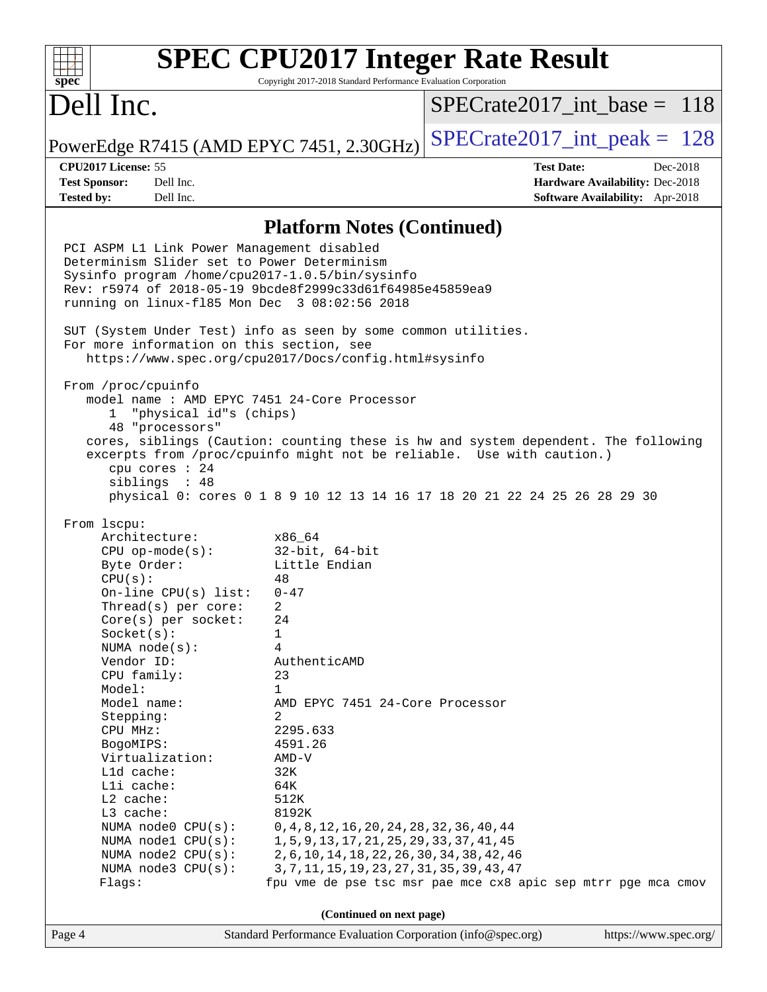#### **[SPEC CPU2017 Integer Rate Result](http://www.spec.org/auto/cpu2017/Docs/result-fields.html#SPECCPU2017IntegerRateResult)**  $+\ +$ **[spec](http://www.spec.org/)** Copyright 2017-2018 Standard Performance Evaluation Corporation Dell Inc. [SPECrate2017\\_int\\_base =](http://www.spec.org/auto/cpu2017/Docs/result-fields.html#SPECrate2017intbase) 118 PowerEdge R7415 (AMD EPYC 7451, 2.30GHz)  $\text{SPECrate2017\_int\_peak} = 128$ **[CPU2017 License:](http://www.spec.org/auto/cpu2017/Docs/result-fields.html#CPU2017License)** 55 **[Test Date:](http://www.spec.org/auto/cpu2017/Docs/result-fields.html#TestDate)** Dec-2018 **[Test Sponsor:](http://www.spec.org/auto/cpu2017/Docs/result-fields.html#TestSponsor)** Dell Inc. **[Hardware Availability:](http://www.spec.org/auto/cpu2017/Docs/result-fields.html#HardwareAvailability)** Dec-2018 **[Tested by:](http://www.spec.org/auto/cpu2017/Docs/result-fields.html#Testedby)** Dell Inc. **[Software Availability:](http://www.spec.org/auto/cpu2017/Docs/result-fields.html#SoftwareAvailability)** Apr-2018 **[Platform Notes \(Continued\)](http://www.spec.org/auto/cpu2017/Docs/result-fields.html#PlatformNotes)** PCI ASPM L1 Link Power Management disabled Determinism Slider set to Power Determinism Sysinfo program /home/cpu2017-1.0.5/bin/sysinfo Rev: r5974 of 2018-05-19 9bcde8f2999c33d61f64985e45859ea9 running on linux-fl85 Mon Dec 3 08:02:56 2018 SUT (System Under Test) info as seen by some common utilities. For more information on this section, see <https://www.spec.org/cpu2017/Docs/config.html#sysinfo> From /proc/cpuinfo model name : AMD EPYC 7451 24-Core Processor 1 "physical id"s (chips) 48 "processors" cores, siblings (Caution: counting these is hw and system dependent. The following excerpts from /proc/cpuinfo might not be reliable. Use with caution.) cpu cores : 24 siblings : 48 physical 0: cores 0 1 8 9 10 12 13 14 16 17 18 20 21 22 24 25 26 28 29 30 From lscpu: Architecture: x86\_64 CPU op-mode(s): 32-bit, 64-bit Byte Order: Little Endian  $CPU(s):$  48 On-line CPU(s) list: 0-47 Thread(s) per core: 2 Core(s) per socket: 24 Socket(s): 1 NUMA node(s): 4 Vendor ID: AuthenticAMD CPU family: 23 Model: 1 Model name: AMD EPYC 7451 24-Core Processor Stepping: 2 CPU MHz: 2295.633 BogoMIPS: 4591.26 Virtualization: AMD-V L1d cache: 32K L1i cache: 64K L2 cache: 512K L3 cache: 8192K NUMA node0 CPU(s): 0,4,8,12,16,20,24,28,32,36,40,44 NUMA node1 CPU(s): 1,5,9,13,17,21,25,29,33,37,41,45 NUMA node2 CPU(s): 2,6,10,14,18,22,26,30,34,38,42,46 NUMA node3 CPU(s): 3,7,11,15,19,23,27,31,35,39,43,47 Flags: fpu vme de pse tsc msr pae mce cx8 apic sep mtrr pge mca cmov **(Continued on next page)**Page 4 Standard Performance Evaluation Corporation [\(info@spec.org\)](mailto:info@spec.org) <https://www.spec.org/>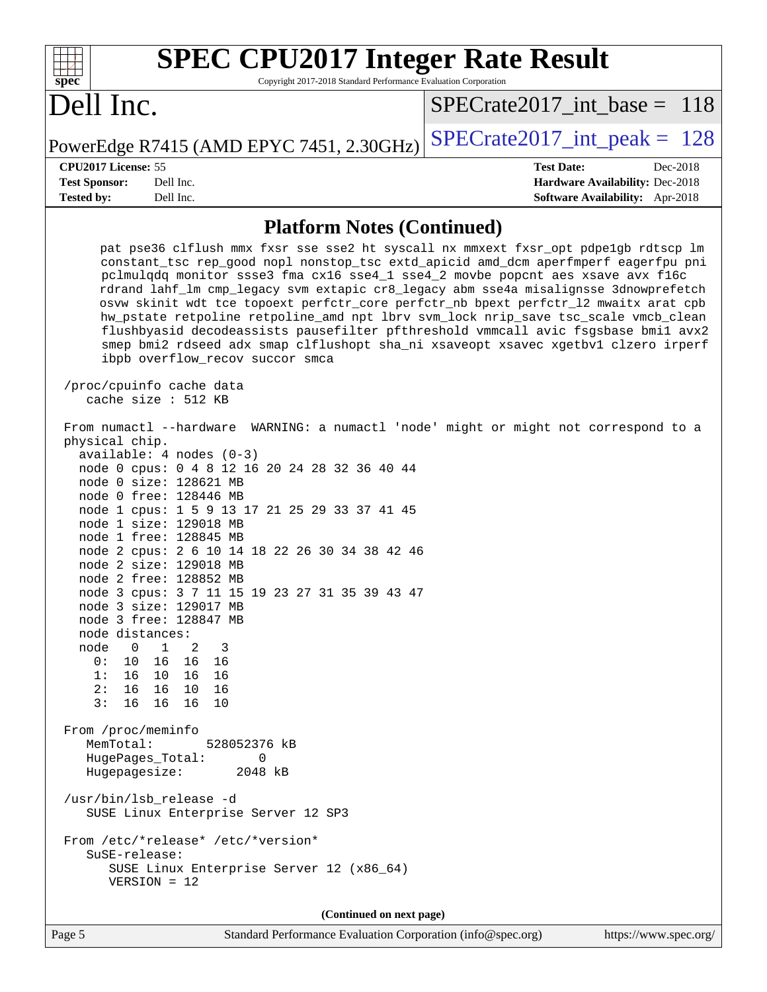| <b>SPEC CPU2017 Integer Rate Result</b>                                                                                                                                                                                                                                                                                                                                                                                                                                                                                                                                                                                                                                                                                                                                                                                                                                                                                                                                                                                  |                                                                                                     |
|--------------------------------------------------------------------------------------------------------------------------------------------------------------------------------------------------------------------------------------------------------------------------------------------------------------------------------------------------------------------------------------------------------------------------------------------------------------------------------------------------------------------------------------------------------------------------------------------------------------------------------------------------------------------------------------------------------------------------------------------------------------------------------------------------------------------------------------------------------------------------------------------------------------------------------------------------------------------------------------------------------------------------|-----------------------------------------------------------------------------------------------------|
| spec<br>Copyright 2017-2018 Standard Performance Evaluation Corporation<br>Dell Inc.                                                                                                                                                                                                                                                                                                                                                                                                                                                                                                                                                                                                                                                                                                                                                                                                                                                                                                                                     | $SPECrate2017\_int\_base = 118$                                                                     |
| PowerEdge R7415 (AMD EPYC 7451, 2.30GHz)                                                                                                                                                                                                                                                                                                                                                                                                                                                                                                                                                                                                                                                                                                                                                                                                                                                                                                                                                                                 | $SPECrate2017\_int\_peak = 128$                                                                     |
| CPU <sub>2017</sub> License: 55<br><b>Test Sponsor:</b><br>Dell Inc.<br>Tested by:<br>Dell Inc.                                                                                                                                                                                                                                                                                                                                                                                                                                                                                                                                                                                                                                                                                                                                                                                                                                                                                                                          | <b>Test Date:</b><br>Dec-2018<br>Hardware Availability: Dec-2018<br>Software Availability: Apr-2018 |
| <b>Platform Notes (Continued)</b>                                                                                                                                                                                                                                                                                                                                                                                                                                                                                                                                                                                                                                                                                                                                                                                                                                                                                                                                                                                        |                                                                                                     |
| pat pse36 clflush mmx fxsr sse sse2 ht syscall nx mmxext fxsr_opt pdpe1gb rdtscp lm<br>constant_tsc rep_good nopl nonstop_tsc extd_apicid amd_dcm aperfmperf eagerfpu pni<br>pclmulqdq monitor ssse3 fma cx16 sse4_1 sse4_2 movbe popcnt aes xsave avx f16c<br>rdrand lahf_lm cmp_legacy svm extapic cr8_legacy abm sse4a misalignsse 3dnowprefetch<br>osvw skinit wdt tce topoext perfctr_core perfctr_nb bpext perfctr_12 mwaitx arat cpb<br>hw_pstate retpoline retpoline_amd npt lbrv svm_lock nrip_save tsc_scale vmcb_clean<br>flushbyasid decodeassists pausefilter pfthreshold vmmcall avic fsgsbase bmil avx2<br>smep bmi2 rdseed adx smap clflushopt sha_ni xsaveopt xsavec xgetbvl clzero irperf<br>ibpb overflow_recov succor smca<br>/proc/cpuinfo cache data<br>cache size : 512 KB                                                                                                                                                                                                                        |                                                                                                     |
| From numactl --hardware WARNING: a numactl 'node' might or might not correspond to a<br>physical chip.<br>$available: 4 nodes (0-3)$<br>node 0 cpus: 0 4 8 12 16 20 24 28 32 36 40 44<br>node 0 size: 128621 MB<br>node 0 free: 128446 MB<br>node 1 cpus: 1 5 9 13 17 21 25 29 33 37 41 45<br>node 1 size: 129018 MB<br>node 1 free: 128845 MB<br>node 2 cpus: 2 6 10 14 18 22 26 30 34 38 42 46<br>node 2 size: 129018 MB<br>node 2 free: 128852 MB<br>node 3 cpus: 3 7 11 15 19 23 27 31 35 39 43 47<br>node 3 size: 129017 MB<br>node 3 free: 128847 MB<br>node distances:<br>$\overline{0}$<br>$\overline{1}$<br>2<br>node<br>3<br>0: 10<br>16 16 16<br>1: 16 10 16 16<br>2:16<br>16 10 16<br>3:<br>16 16<br>16<br>10<br>From /proc/meminfo<br>MemTotal:<br>528052376 kB<br>HugePages_Total:<br>0<br>Hugepagesize:<br>2048 kB<br>/usr/bin/lsb_release -d<br>SUSE Linux Enterprise Server 12 SP3<br>From /etc/*release* /etc/*version*<br>SuSE-release:<br>SUSE Linux Enterprise Server 12 (x86_64)<br>$VERSION = 12$ |                                                                                                     |
| (Continued on next page)                                                                                                                                                                                                                                                                                                                                                                                                                                                                                                                                                                                                                                                                                                                                                                                                                                                                                                                                                                                                 |                                                                                                     |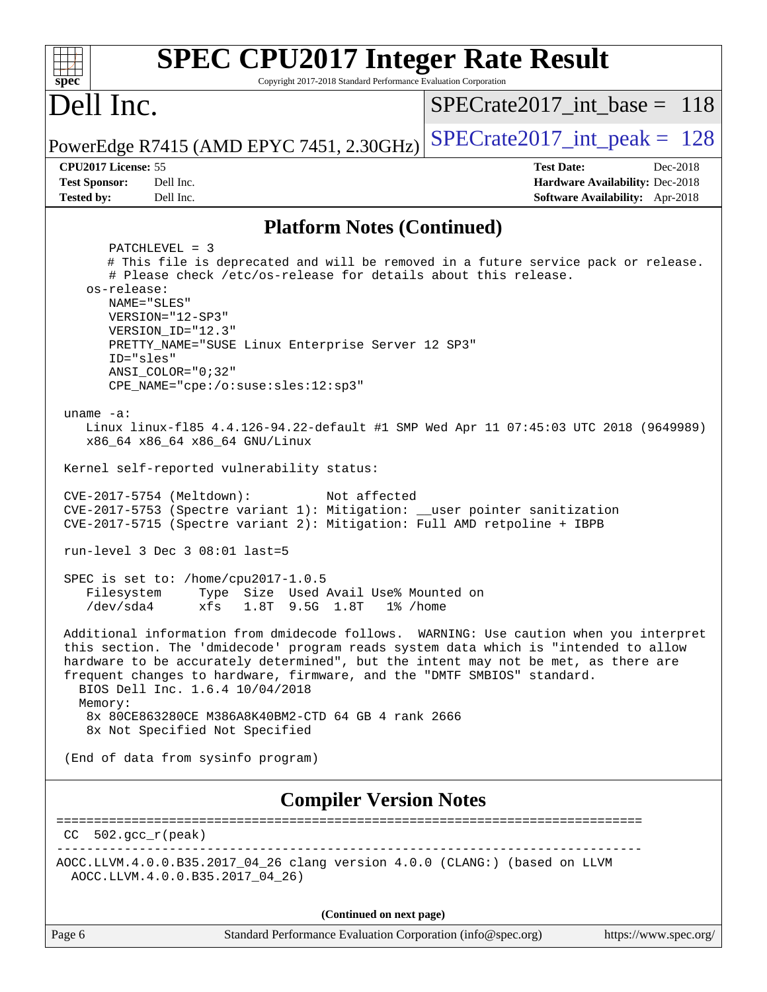| <b>SPEC CPU2017 Integer Rate Result</b>                                                                                                                                                                                                                                                                                                                                                                                                                                                                                                                                                                                                                                                                                                                                                                                                                                                                                                                                                                                                                                                                                                                                                                                                                                                                                                                                                                                                                            |                                 |  |  |  |  |
|--------------------------------------------------------------------------------------------------------------------------------------------------------------------------------------------------------------------------------------------------------------------------------------------------------------------------------------------------------------------------------------------------------------------------------------------------------------------------------------------------------------------------------------------------------------------------------------------------------------------------------------------------------------------------------------------------------------------------------------------------------------------------------------------------------------------------------------------------------------------------------------------------------------------------------------------------------------------------------------------------------------------------------------------------------------------------------------------------------------------------------------------------------------------------------------------------------------------------------------------------------------------------------------------------------------------------------------------------------------------------------------------------------------------------------------------------------------------|---------------------------------|--|--|--|--|
| spec<br>Copyright 2017-2018 Standard Performance Evaluation Corporation                                                                                                                                                                                                                                                                                                                                                                                                                                                                                                                                                                                                                                                                                                                                                                                                                                                                                                                                                                                                                                                                                                                                                                                                                                                                                                                                                                                            |                                 |  |  |  |  |
| Dell Inc.                                                                                                                                                                                                                                                                                                                                                                                                                                                                                                                                                                                                                                                                                                                                                                                                                                                                                                                                                                                                                                                                                                                                                                                                                                                                                                                                                                                                                                                          | $SPECrate2017\_int\_base = 118$ |  |  |  |  |
| PowerEdge R7415 (AMD EPYC 7451, 2.30GHz)                                                                                                                                                                                                                                                                                                                                                                                                                                                                                                                                                                                                                                                                                                                                                                                                                                                                                                                                                                                                                                                                                                                                                                                                                                                                                                                                                                                                                           | $SPECrate2017\_int\_peak = 128$ |  |  |  |  |
| CPU2017 License: 55                                                                                                                                                                                                                                                                                                                                                                                                                                                                                                                                                                                                                                                                                                                                                                                                                                                                                                                                                                                                                                                                                                                                                                                                                                                                                                                                                                                                                                                | <b>Test Date:</b><br>Dec-2018   |  |  |  |  |
| <b>Test Sponsor:</b><br>Dell Inc.                                                                                                                                                                                                                                                                                                                                                                                                                                                                                                                                                                                                                                                                                                                                                                                                                                                                                                                                                                                                                                                                                                                                                                                                                                                                                                                                                                                                                                  | Hardware Availability: Dec-2018 |  |  |  |  |
| <b>Tested by:</b><br>Dell Inc.                                                                                                                                                                                                                                                                                                                                                                                                                                                                                                                                                                                                                                                                                                                                                                                                                                                                                                                                                                                                                                                                                                                                                                                                                                                                                                                                                                                                                                     | Software Availability: Apr-2018 |  |  |  |  |
| <b>Platform Notes (Continued)</b>                                                                                                                                                                                                                                                                                                                                                                                                                                                                                                                                                                                                                                                                                                                                                                                                                                                                                                                                                                                                                                                                                                                                                                                                                                                                                                                                                                                                                                  |                                 |  |  |  |  |
| PATCHLEVEL = 3<br># This file is deprecated and will be removed in a future service pack or release.<br># Please check /etc/os-release for details about this release.<br>os-release:<br>NAME="SLES"<br>VERSION="12-SP3"<br>VERSION_ID="12.3"<br>PRETTY_NAME="SUSE Linux Enterprise Server 12 SP3"<br>ID="sles"<br>$ANSI$ _COLOR=" $0:32$ "<br>CPE_NAME="cpe:/o:suse:sles:12:sp3"<br>uname $-a$ :<br>Linux linux-f185 4.4.126-94.22-default #1 SMP Wed Apr 11 07:45:03 UTC 2018 (9649989)<br>x86_64 x86_64 x86_64 GNU/Linux<br>Kernel self-reported vulnerability status:<br>CVE-2017-5754 (Meltdown):<br>Not affected<br>CVE-2017-5753 (Spectre variant 1): Mitigation: __user pointer sanitization<br>CVE-2017-5715 (Spectre variant 2): Mitigation: Full AMD retpoline + IBPB<br>run-level 3 Dec 3 $08:01$ last=5<br>SPEC is set to: /home/cpu2017-1.0.5<br>Type Size Used Avail Use% Mounted on<br>Filesystem<br>$/\text{dev/sda4}$<br>xfs<br>1.8T 9.5G 1.8T 1% / home<br>Additional information from dmidecode follows. WARNING: Use caution when you interpret<br>this section. The 'dmidecode' program reads system data which is "intended to allow<br>hardware to be accurately determined", but the intent may not be met, as there are<br>frequent changes to hardware, firmware, and the "DMTF SMBIOS" standard.<br>BIOS Dell Inc. 1.6.4 10/04/2018<br>Memory:<br>8x 80CE863280CE M386A8K40BM2-CTD 64 GB 4 rank 2666<br>8x Not Specified Not Specified |                                 |  |  |  |  |
| (End of data from sysinfo program)                                                                                                                                                                                                                                                                                                                                                                                                                                                                                                                                                                                                                                                                                                                                                                                                                                                                                                                                                                                                                                                                                                                                                                                                                                                                                                                                                                                                                                 |                                 |  |  |  |  |
| <b>Compiler Version Notes</b>                                                                                                                                                                                                                                                                                                                                                                                                                                                                                                                                                                                                                                                                                                                                                                                                                                                                                                                                                                                                                                                                                                                                                                                                                                                                                                                                                                                                                                      |                                 |  |  |  |  |
| $502.\text{gcc\_r}(\text{peak})$<br>CC.                                                                                                                                                                                                                                                                                                                                                                                                                                                                                                                                                                                                                                                                                                                                                                                                                                                                                                                                                                                                                                                                                                                                                                                                                                                                                                                                                                                                                            |                                 |  |  |  |  |
| AOCC.LLVM.4.0.0.B35.2017_04_26 clang version 4.0.0 (CLANG:) (based on LLVM<br>AOCC.LLVM.4.0.0.B35.2017_04_26)<br>(Continued on next page)                                                                                                                                                                                                                                                                                                                                                                                                                                                                                                                                                                                                                                                                                                                                                                                                                                                                                                                                                                                                                                                                                                                                                                                                                                                                                                                          |                                 |  |  |  |  |
|                                                                                                                                                                                                                                                                                                                                                                                                                                                                                                                                                                                                                                                                                                                                                                                                                                                                                                                                                                                                                                                                                                                                                                                                                                                                                                                                                                                                                                                                    |                                 |  |  |  |  |

Page 6 Standard Performance Evaluation Corporation [\(info@spec.org\)](mailto:info@spec.org) <https://www.spec.org/>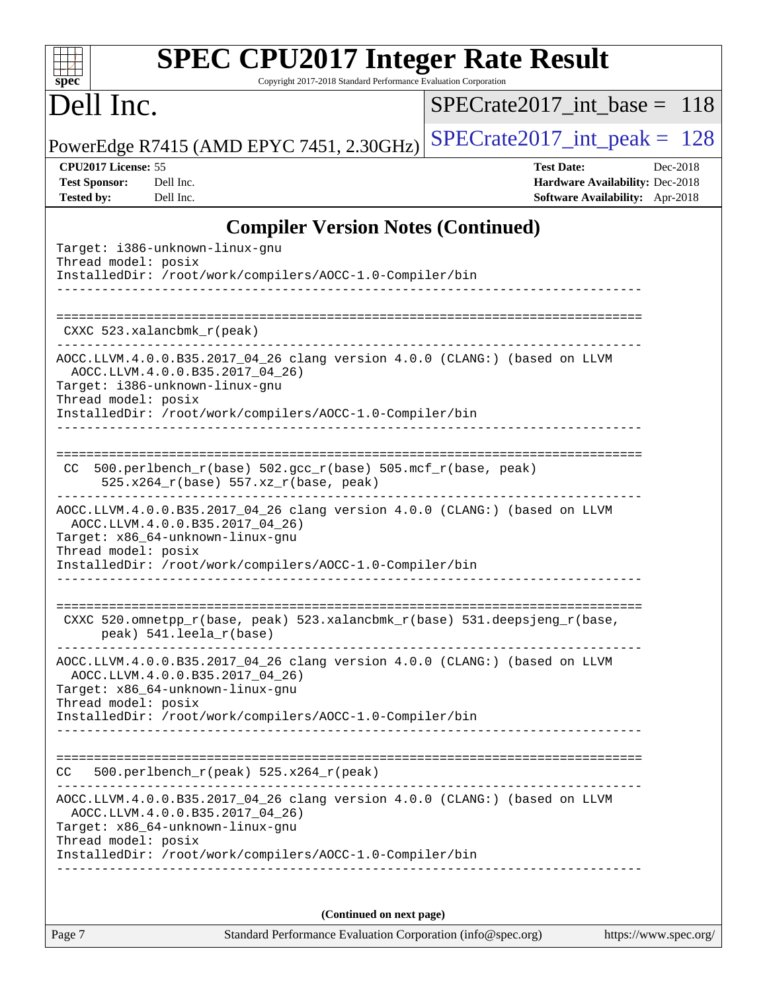| <b>SPEC CPU2017 Integer Rate Result</b>                         |  |
|-----------------------------------------------------------------|--|
| Copyright 2017-2018 Standard Performance Evaluation Corporation |  |
|                                                                 |  |

## Dell Inc.

**[spec](http://www.spec.org/)**

[SPECrate2017\\_int\\_base =](http://www.spec.org/auto/cpu2017/Docs/result-fields.html#SPECrate2017intbase) 118

PowerEdge R7415 (AMD EPYC 7451, 2.30GHz) [SPECrate2017\\_int\\_peak =](http://www.spec.org/auto/cpu2017/Docs/result-fields.html#SPECrate2017intpeak)  $128$ 

**[CPU2017 License:](http://www.spec.org/auto/cpu2017/Docs/result-fields.html#CPU2017License)** 55 **[Test Date:](http://www.spec.org/auto/cpu2017/Docs/result-fields.html#TestDate)** Dec-2018 **[Test Sponsor:](http://www.spec.org/auto/cpu2017/Docs/result-fields.html#TestSponsor)** Dell Inc. **[Hardware Availability:](http://www.spec.org/auto/cpu2017/Docs/result-fields.html#HardwareAvailability)** Dec-2018 **[Tested by:](http://www.spec.org/auto/cpu2017/Docs/result-fields.html#Testedby)** Dell Inc. **[Software Availability:](http://www.spec.org/auto/cpu2017/Docs/result-fields.html#SoftwareAvailability)** Apr-2018

### **[Compiler Version Notes \(Continued\)](http://www.spec.org/auto/cpu2017/Docs/result-fields.html#CompilerVersionNotes)**

| (Continued on next page)                                                                                                                                                                                                             |
|--------------------------------------------------------------------------------------------------------------------------------------------------------------------------------------------------------------------------------------|
| AOCC.LLVM.4.0.0.B35.2017_04_26 clang version 4.0.0 (CLANG:) (based on LLVM<br>AOCC.LLVM.4.0.0.B35.2017 04 26)<br>Target: x86_64-unknown-linux-gnu<br>Thread model: posix<br>InstalledDir: /root/work/compilers/AOCC-1.0-Compiler/bin |
| $500. perlbench_r (peak) 525.x264_r (peak)$<br>CC.                                                                                                                                                                                   |
| InstalledDir: /root/work/compilers/AOCC-1.0-Compiler/bin                                                                                                                                                                             |
| AOCC.LLVM.4.0.0.B35.2017_04_26 clang version 4.0.0 (CLANG:) (based on LLVM<br>AOCC.LLVM.4.0.0.B35.2017_04_26)<br>Target: x86_64-unknown-linux-gnu<br>Thread model: posix                                                             |
| CXXC 520.omnetpp_r(base, peak) 523.xalancbmk_r(base) 531.deepsjeng_r(base,<br>peak) 541.leela_r(base)<br>--------------------------                                                                                                  |
| AOCC.LLVM.4.0.0.B35.2017_04_26 clang version 4.0.0 (CLANG:) (based on LLVM<br>AOCC.LLVM.4.0.0.B35.2017_04_26)<br>Target: x86_64-unknown-linux-gnu<br>Thread model: posix<br>InstalledDir: /root/work/compilers/AOCC-1.0-Compiler/bin |
| 500.perlbench_r(base) 502.gcc_r(base) 505.mcf_r(base, peak)<br>CC.<br>525.x264_r(base) 557.xz_r(base, peak)                                                                                                                          |
| AOCC.LLVM.4.0.0.B35.2017_04_26 clang version 4.0.0 (CLANG:) (based on LLVM<br>AOCC.LLVM.4.0.0.B35.2017 04 26)<br>Target: i386-unknown-linux-gnu<br>Thread model: posix<br>InstalledDir: /root/work/compilers/AOCC-1.0-Compiler/bin   |
| CXXC 523.xalancbmk_r(peak)                                                                                                                                                                                                           |
| Target: i386-unknown-linux-gnu<br>Thread model: posix<br>InstalledDir: /root/work/compilers/AOCC-1.0-Compiler/bin                                                                                                                    |

Page 7 Standard Performance Evaluation Corporation [\(info@spec.org\)](mailto:info@spec.org) <https://www.spec.org/>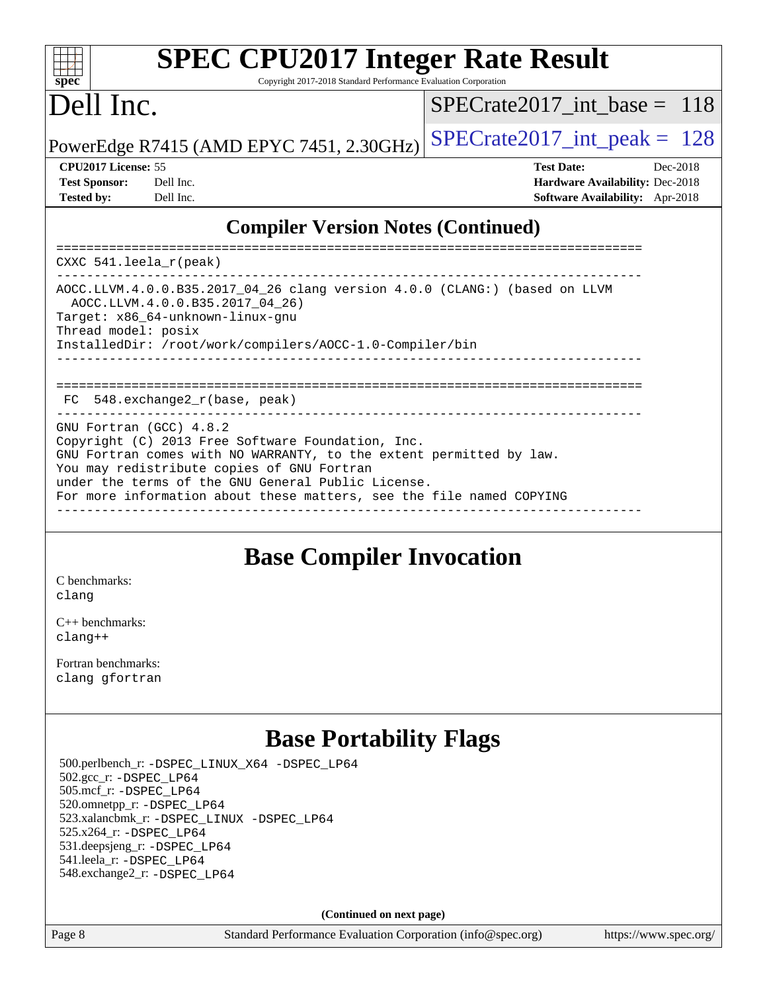#### $\pm$   $\mu$ **[spec](http://www.spec.org/)**

# **[SPEC CPU2017 Integer Rate Result](http://www.spec.org/auto/cpu2017/Docs/result-fields.html#SPECCPU2017IntegerRateResult)**

Copyright 2017-2018 Standard Performance Evaluation Corporation

## Dell Inc.

[SPECrate2017\\_int\\_base =](http://www.spec.org/auto/cpu2017/Docs/result-fields.html#SPECrate2017intbase) 118

PowerEdge R7415 (AMD EPYC 7451, 2.30GHz)  $\left|$  [SPECrate2017\\_int\\_peak =](http://www.spec.org/auto/cpu2017/Docs/result-fields.html#SPECrate2017intpeak) 128

| <b>Test Sponsor:</b> | Dell In |
|----------------------|---------|
| <b>Tested by:</b>    | Dell In |

**[CPU2017 License:](http://www.spec.org/auto/cpu2017/Docs/result-fields.html#CPU2017License)** 55 **[Test Date:](http://www.spec.org/auto/cpu2017/Docs/result-fields.html#TestDate)** Dec-2018 **[Test Sponsor:](http://www.spec.org/auto/cpu2017/Docs/result-fields.html#TestSponsor)** Decree Sponsor: **[Hardware Availability:](http://www.spec.org/auto/cpu2017/Docs/result-fields.html#HardwareAvailability)** Dec-2018 **[Tested by:](http://www.spec.org/auto/cpu2017/Docs/result-fields.html#Testedby) [Software Availability:](http://www.spec.org/auto/cpu2017/Docs/result-fields.html#SoftwareAvailability)** Apr-2018

### **[Compiler Version Notes \(Continued\)](http://www.spec.org/auto/cpu2017/Docs/result-fields.html#CompilerVersionNotes)**

============================================================================== CXXC 541.leela\_r(peak) ------------------------------------------------------------------------------ AOCC.LLVM.4.0.0.B35.2017\_04\_26 clang version 4.0.0 (CLANG:) (based on LLVM AOCC.LLVM.4.0.0.B35.2017\_04\_26) Target: x86\_64-unknown-linux-gnu Thread model: posix InstalledDir: /root/work/compilers/AOCC-1.0-Compiler/bin ------------------------------------------------------------------------------ ============================================================================== FC 548.exchange2\_r(base, peak) GNU Fortran (GCC) 4.8.2 Copyright (C) 2013 Free Software Foundation, Inc. GNU Fortran comes with NO WARRANTY, to the extent permitted by law. You may redistribute copies of GNU Fortran under the terms of the GNU General Public License. For more information about these matters, see the file named COPYING ------------------------------------------------------------------------------

## **[Base Compiler Invocation](http://www.spec.org/auto/cpu2017/Docs/result-fields.html#BaseCompilerInvocation)**

[C benchmarks](http://www.spec.org/auto/cpu2017/Docs/result-fields.html#Cbenchmarks): [clang](http://www.spec.org/cpu2017/results/res2018q4/cpu2017-20181210-10151.flags.html#user_CCbase_Fclang3_a68b77bfed473bd9cdd22529af008e8306c2e3948617c8991604c1a2000ee4a73ef90dd8bc793e105fe4165a625d26dacbda4708d828ad19048918c071b363ec)

[C++ benchmarks:](http://www.spec.org/auto/cpu2017/Docs/result-fields.html#CXXbenchmarks) [clang++](http://www.spec.org/cpu2017/results/res2018q4/cpu2017-20181210-10151.flags.html#user_CXXbase_Fclang3_57a48582e5be507d19b2527b3e7d4f85d9b8669ffc9a8a0dbb9bcf949a918a58bbab411e0c4d14a3922022a3e425a90db94042683824c1806feff4324ca1000d)

[Fortran benchmarks](http://www.spec.org/auto/cpu2017/Docs/result-fields.html#Fortranbenchmarks): [clang](http://www.spec.org/cpu2017/results/res2018q4/cpu2017-20181210-10151.flags.html#user_FCbase_Fclang3_a68b77bfed473bd9cdd22529af008e8306c2e3948617c8991604c1a2000ee4a73ef90dd8bc793e105fe4165a625d26dacbda4708d828ad19048918c071b363ec) [gfortran](http://www.spec.org/cpu2017/results/res2018q4/cpu2017-20181210-10151.flags.html#user_FCbase_aocc-gfortran_128c91a56d61ddb07404721e65b8f9498c31a443dacbd3b7f212891090eca86e2d099b520f75b99e9e8ac4fdec01f4d15f0b65e47123ec4c42b0759045731a1f)

## **[Base Portability Flags](http://www.spec.org/auto/cpu2017/Docs/result-fields.html#BasePortabilityFlags)**

 500.perlbench\_r: [-DSPEC\\_LINUX\\_X64](http://www.spec.org/cpu2017/results/res2018q4/cpu2017-20181210-10151.flags.html#b500.perlbench_r_basePORTABILITY_DSPEC_LINUX_X64) [-DSPEC\\_LP64](http://www.spec.org/cpu2017/results/res2018q4/cpu2017-20181210-10151.flags.html#b500.perlbench_r_baseEXTRA_PORTABILITY_DSPEC_LP64) 502.gcc\_r: [-DSPEC\\_LP64](http://www.spec.org/cpu2017/results/res2018q4/cpu2017-20181210-10151.flags.html#suite_baseEXTRA_PORTABILITY502_gcc_r_DSPEC_LP64) 505.mcf\_r: [-DSPEC\\_LP64](http://www.spec.org/cpu2017/results/res2018q4/cpu2017-20181210-10151.flags.html#suite_baseEXTRA_PORTABILITY505_mcf_r_DSPEC_LP64) 520.omnetpp\_r: [-DSPEC\\_LP64](http://www.spec.org/cpu2017/results/res2018q4/cpu2017-20181210-10151.flags.html#suite_baseEXTRA_PORTABILITY520_omnetpp_r_DSPEC_LP64) 523.xalancbmk\_r: [-DSPEC\\_LINUX](http://www.spec.org/cpu2017/results/res2018q4/cpu2017-20181210-10151.flags.html#b523.xalancbmk_r_basePORTABILITY_DSPEC_LINUX) [-DSPEC\\_LP64](http://www.spec.org/cpu2017/results/res2018q4/cpu2017-20181210-10151.flags.html#suite_baseEXTRA_PORTABILITY523_xalancbmk_r_DSPEC_LP64) 525.x264\_r: [-DSPEC\\_LP64](http://www.spec.org/cpu2017/results/res2018q4/cpu2017-20181210-10151.flags.html#suite_baseEXTRA_PORTABILITY525_x264_r_DSPEC_LP64) 531.deepsjeng\_r: [-DSPEC\\_LP64](http://www.spec.org/cpu2017/results/res2018q4/cpu2017-20181210-10151.flags.html#suite_baseEXTRA_PORTABILITY531_deepsjeng_r_DSPEC_LP64) 541.leela\_r: [-DSPEC\\_LP64](http://www.spec.org/cpu2017/results/res2018q4/cpu2017-20181210-10151.flags.html#suite_baseEXTRA_PORTABILITY541_leela_r_DSPEC_LP64) 548.exchange2\_r: [-DSPEC\\_LP64](http://www.spec.org/cpu2017/results/res2018q4/cpu2017-20181210-10151.flags.html#suite_baseEXTRA_PORTABILITY548_exchange2_r_DSPEC_LP64)

**(Continued on next page)**

Page 8 Standard Performance Evaluation Corporation [\(info@spec.org\)](mailto:info@spec.org) <https://www.spec.org/>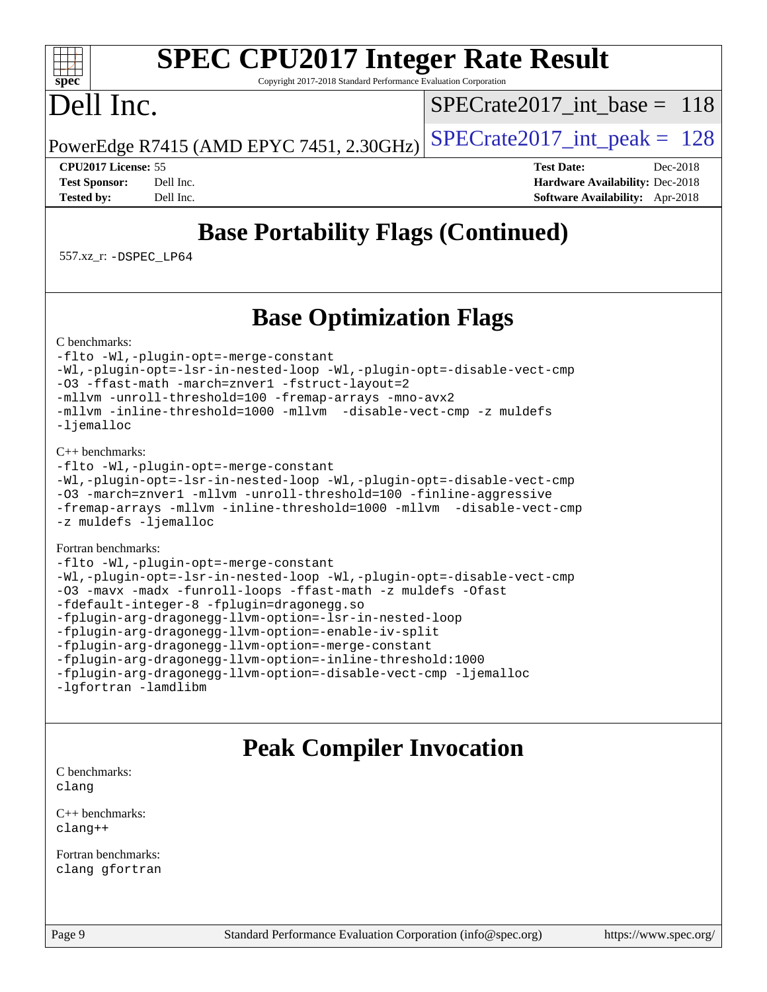#### $+\ +$ **[spec](http://www.spec.org/)**

# **[SPEC CPU2017 Integer Rate Result](http://www.spec.org/auto/cpu2017/Docs/result-fields.html#SPECCPU2017IntegerRateResult)**

Copyright 2017-2018 Standard Performance Evaluation Corporation

## Dell Inc.

[SPECrate2017\\_int\\_base =](http://www.spec.org/auto/cpu2017/Docs/result-fields.html#SPECrate2017intbase) 118

PowerEdge R7415 (AMD EPYC 7451, 2.30GHz)  $\left|$  [SPECrate2017\\_int\\_peak =](http://www.spec.org/auto/cpu2017/Docs/result-fields.html#SPECrate2017intpeak) 128

**[CPU2017 License:](http://www.spec.org/auto/cpu2017/Docs/result-fields.html#CPU2017License)** 55 **[Test Date:](http://www.spec.org/auto/cpu2017/Docs/result-fields.html#TestDate)** Dec-2018 **[Test Sponsor:](http://www.spec.org/auto/cpu2017/Docs/result-fields.html#TestSponsor)** Dell Inc. **[Hardware Availability:](http://www.spec.org/auto/cpu2017/Docs/result-fields.html#HardwareAvailability)** Dec-2018 **[Tested by:](http://www.spec.org/auto/cpu2017/Docs/result-fields.html#Testedby)** Dell Inc. **[Software Availability:](http://www.spec.org/auto/cpu2017/Docs/result-fields.html#SoftwareAvailability)** Apr-2018

## **[Base Portability Flags \(Continued\)](http://www.spec.org/auto/cpu2017/Docs/result-fields.html#BasePortabilityFlags)**

557.xz\_r: [-DSPEC\\_LP64](http://www.spec.org/cpu2017/results/res2018q4/cpu2017-20181210-10151.flags.html#suite_baseEXTRA_PORTABILITY557_xz_r_DSPEC_LP64)

## **[Base Optimization Flags](http://www.spec.org/auto/cpu2017/Docs/result-fields.html#BaseOptimizationFlags)**

[C benchmarks](http://www.spec.org/auto/cpu2017/Docs/result-fields.html#Cbenchmarks):

[-flto](http://www.spec.org/cpu2017/results/res2018q4/cpu2017-20181210-10151.flags.html#user_CCbase_lto) [-Wl,-plugin-opt=-merge-constant](http://www.spec.org/cpu2017/results/res2018q4/cpu2017-20181210-10151.flags.html#user_CCbase_F-merge-constant_1d79771b5442061d9c8e05556c6b0c655e6c9e66f8c6936b0129d434b6acd2b1cf1b7cd2540d1570ff636111b08a6bc36e2e61fc34531f8ef7c1a34c57be1dbb) [-Wl,-plugin-opt=-lsr-in-nested-loop](http://www.spec.org/cpu2017/results/res2018q4/cpu2017-20181210-10151.flags.html#user_CCbase_lsr-in-nested-loop_1cff93fd95162f5e77640b5271e8bed680fb62b4a8d96fb8ab217ff3244646f1fbb342e31af83c263403bbf5249c7dc7732d5c86c3eab4cc8d32dcb7a6f33ca0) [-Wl,-plugin-opt=-disable-vect-cmp](http://www.spec.org/cpu2017/results/res2018q4/cpu2017-20181210-10151.flags.html#user_CCbase_disable-vect-cmp_1056b9a09b8ddc126e023b5f99ae33179ef568835465af9b7adeacf4b6480ff575c8aee439265bcfbcbf086f33f2fa5cca2bc4cf52b64c0cd2e10f6503cba02d) [-O3](http://www.spec.org/cpu2017/results/res2018q4/cpu2017-20181210-10151.flags.html#user_CCbase_F-O3) [-ffast-math](http://www.spec.org/cpu2017/results/res2018q4/cpu2017-20181210-10151.flags.html#user_CCbase_F-aocc-ffast-math_78dd175de6534c2005829757b9b0f2878e57b067cce6f7c443b2250ac68890960e2e1b320ca04b81ff7c62c6f87870ed05f06baf7875eea2990d38e3b73c71f1) [-march=znver1](http://www.spec.org/cpu2017/results/res2018q4/cpu2017-20181210-10151.flags.html#user_CCbase_F-march) [-fstruct-layout=2](http://www.spec.org/cpu2017/results/res2018q4/cpu2017-20181210-10151.flags.html#user_CCbase_F-fstruct-layout_a05ec02e17cdf7fe0c3950a6b005251b2b1e5e67af2b5298cf72714730c3d59ba290e75546b10aa22dac074c15ceaca36ae22c62cb51bcb2fbdc9dc4e7e222c4) [-mllvm -unroll-threshold=100](http://www.spec.org/cpu2017/results/res2018q4/cpu2017-20181210-10151.flags.html#user_CCbase_F-unroll-threshold_2755d0c78138845d361fa1543e3a063fffa198df9b3edf0cfb856bbc88a81e1769b12ac7a550c5d35197be55360db1a3f95a8d1304df999456cabf5120c45168) [-fremap-arrays](http://www.spec.org/cpu2017/results/res2018q4/cpu2017-20181210-10151.flags.html#user_CCbase_F-fremap-arrays) [-mno-avx2](http://www.spec.org/cpu2017/results/res2018q4/cpu2017-20181210-10151.flags.html#user_CCbase_F-mno-avx2) [-mllvm -inline-threshold=1000](http://www.spec.org/cpu2017/results/res2018q4/cpu2017-20181210-10151.flags.html#user_CCbase_inline-threshold_b7832241b0a6397e4ecdbaf0eb7defdc10f885c2a282fa3240fdc99844d543fda39cf8a4a9dccf68cf19b5438ac3b455264f478df15da0f4988afa40d8243bab) [-mllvm -disable-vect-cmp](http://www.spec.org/cpu2017/results/res2018q4/cpu2017-20181210-10151.flags.html#user_CCbase_disable-vect-cmp_d995c9eb800469498c6893dc847c54c903d59847b18cb2ac22011b9af7010c96d2d48d3c6b41246fe86945001509aa4dc528afb61cb238fd3b256a31781ea0cf) [-z muldefs](http://www.spec.org/cpu2017/results/res2018q4/cpu2017-20181210-10151.flags.html#user_CCbase_F-z-muldefs) [-ljemalloc](http://www.spec.org/cpu2017/results/res2018q4/cpu2017-20181210-10151.flags.html#user_CCbase_jemalloc-lib_d1249b907c500fa1c0672f44f562e3d0f79738ae9e3c4a9c376d49f265a04b9c99b167ecedbf6711b3085be911c67ff61f150a17b3472be731631ba4d0471706)

#### [C++ benchmarks:](http://www.spec.org/auto/cpu2017/Docs/result-fields.html#CXXbenchmarks)

```
-flto -Wl,-plugin-opt=-merge-constant
-Wl,-plugin-opt=-lsr-in-nested-loop -Wl,-plugin-opt=-disable-vect-cmp
-O3 -march=znver1 -mllvm -unroll-threshold=100 -finline-aggressive
-fremap-arrays -mllvm -inline-threshold=1000 -mllvm -disable-vect-cmp
-z muldefs -ljemalloc
```
#### [Fortran benchmarks](http://www.spec.org/auto/cpu2017/Docs/result-fields.html#Fortranbenchmarks):

```
-flto -Wl,-plugin-opt=-merge-constant
-Wl,-plugin-opt=-lsr-in-nested-loop -Wl,-plugin-opt=-disable-vect-cmp
-O3 -mavx -madx -funroll-loops -ffast-math -z muldefs -Ofast
-fdefault-integer-8 -fplugin=dragonegg.so
-fplugin-arg-dragonegg-llvm-option=-lsr-in-nested-loop
-fplugin-arg-dragonegg-llvm-option=-enable-iv-split
-fplugin-arg-dragonegg-llvm-option=-merge-constant
-fplugin-arg-dragonegg-llvm-option=-inline-threshold:1000
-fplugin-arg-dragonegg-llvm-option=-disable-vect-cmp -ljemalloc
-lgfortran -lamdlibm
```
## **[Peak Compiler Invocation](http://www.spec.org/auto/cpu2017/Docs/result-fields.html#PeakCompilerInvocation)**

[C benchmarks](http://www.spec.org/auto/cpu2017/Docs/result-fields.html#Cbenchmarks): [clang](http://www.spec.org/cpu2017/results/res2018q4/cpu2017-20181210-10151.flags.html#user_CCpeak_Fclang3_a68b77bfed473bd9cdd22529af008e8306c2e3948617c8991604c1a2000ee4a73ef90dd8bc793e105fe4165a625d26dacbda4708d828ad19048918c071b363ec)

[C++ benchmarks:](http://www.spec.org/auto/cpu2017/Docs/result-fields.html#CXXbenchmarks) [clang++](http://www.spec.org/cpu2017/results/res2018q4/cpu2017-20181210-10151.flags.html#user_CXXpeak_Fclang3_57a48582e5be507d19b2527b3e7d4f85d9b8669ffc9a8a0dbb9bcf949a918a58bbab411e0c4d14a3922022a3e425a90db94042683824c1806feff4324ca1000d)

[Fortran benchmarks](http://www.spec.org/auto/cpu2017/Docs/result-fields.html#Fortranbenchmarks): [clang](http://www.spec.org/cpu2017/results/res2018q4/cpu2017-20181210-10151.flags.html#user_FCpeak_Fclang3_a68b77bfed473bd9cdd22529af008e8306c2e3948617c8991604c1a2000ee4a73ef90dd8bc793e105fe4165a625d26dacbda4708d828ad19048918c071b363ec) [gfortran](http://www.spec.org/cpu2017/results/res2018q4/cpu2017-20181210-10151.flags.html#user_FCpeak_aocc-gfortran_128c91a56d61ddb07404721e65b8f9498c31a443dacbd3b7f212891090eca86e2d099b520f75b99e9e8ac4fdec01f4d15f0b65e47123ec4c42b0759045731a1f)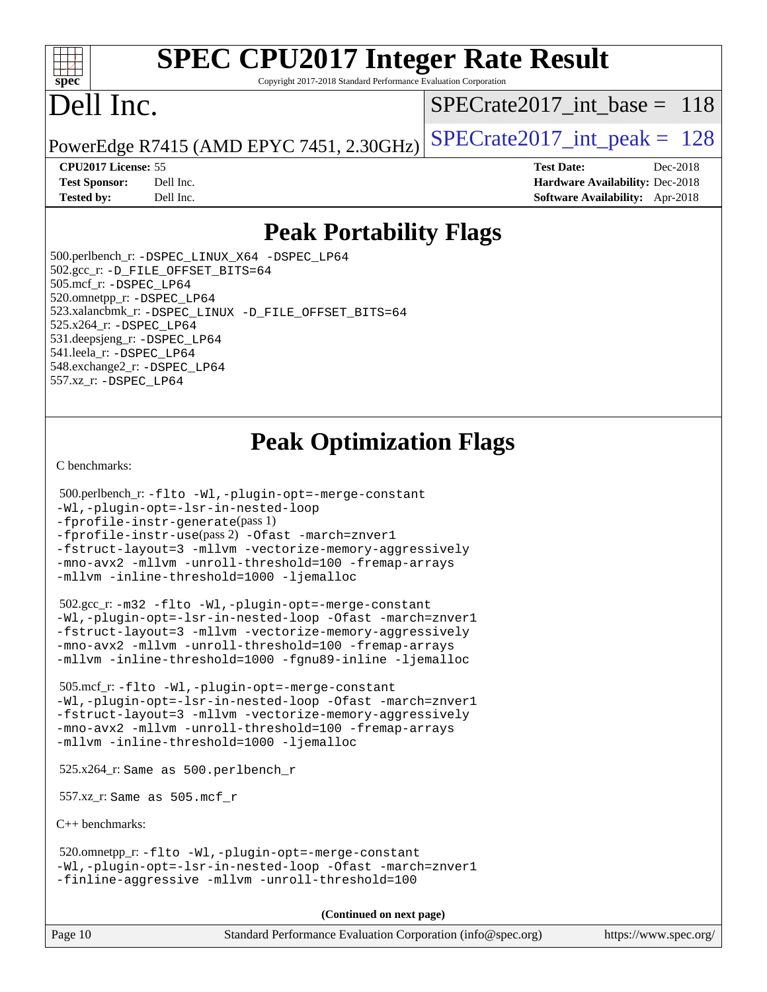#### $+\ +$ **[spec](http://www.spec.org/)**

# **[SPEC CPU2017 Integer Rate Result](http://www.spec.org/auto/cpu2017/Docs/result-fields.html#SPECCPU2017IntegerRateResult)**

Copyright 2017-2018 Standard Performance Evaluation Corporation

## Dell Inc.

[SPECrate2017\\_int\\_base =](http://www.spec.org/auto/cpu2017/Docs/result-fields.html#SPECrate2017intbase) 118

PowerEdge R7415 (AMD EPYC 7451, 2.30GHz)  $\left|$  [SPECrate2017\\_int\\_peak =](http://www.spec.org/auto/cpu2017/Docs/result-fields.html#SPECrate2017intpeak) 128

**[CPU2017 License:](http://www.spec.org/auto/cpu2017/Docs/result-fields.html#CPU2017License)** 55 **[Test Date:](http://www.spec.org/auto/cpu2017/Docs/result-fields.html#TestDate)** Dec-2018 **[Test Sponsor:](http://www.spec.org/auto/cpu2017/Docs/result-fields.html#TestSponsor)** Dell Inc. **[Hardware Availability:](http://www.spec.org/auto/cpu2017/Docs/result-fields.html#HardwareAvailability)** Dec-2018 **[Tested by:](http://www.spec.org/auto/cpu2017/Docs/result-fields.html#Testedby)** Dell Inc. **[Software Availability:](http://www.spec.org/auto/cpu2017/Docs/result-fields.html#SoftwareAvailability)** Apr-2018

## **[Peak Portability Flags](http://www.spec.org/auto/cpu2017/Docs/result-fields.html#PeakPortabilityFlags)**

 500.perlbench\_r: [-DSPEC\\_LINUX\\_X64](http://www.spec.org/cpu2017/results/res2018q4/cpu2017-20181210-10151.flags.html#b500.perlbench_r_peakPORTABILITY_DSPEC_LINUX_X64) [-DSPEC\\_LP64](http://www.spec.org/cpu2017/results/res2018q4/cpu2017-20181210-10151.flags.html#b500.perlbench_r_peakEXTRA_PORTABILITY_DSPEC_LP64) 502.gcc\_r: [-D\\_FILE\\_OFFSET\\_BITS=64](http://www.spec.org/cpu2017/results/res2018q4/cpu2017-20181210-10151.flags.html#user_peakEXTRA_PORTABILITY502_gcc_r_F-D_FILE_OFFSET_BITS_5ae949a99b284ddf4e95728d47cb0843d81b2eb0e18bdfe74bbf0f61d0b064f4bda2f10ea5eb90e1dcab0e84dbc592acfc5018bc955c18609f94ddb8d550002c) 505.mcf\_r: [-DSPEC\\_LP64](http://www.spec.org/cpu2017/results/res2018q4/cpu2017-20181210-10151.flags.html#suite_peakEXTRA_PORTABILITY505_mcf_r_DSPEC_LP64) 520.omnetpp\_r: [-DSPEC\\_LP64](http://www.spec.org/cpu2017/results/res2018q4/cpu2017-20181210-10151.flags.html#suite_peakEXTRA_PORTABILITY520_omnetpp_r_DSPEC_LP64) 523.xalancbmk\_r: [-DSPEC\\_LINUX](http://www.spec.org/cpu2017/results/res2018q4/cpu2017-20181210-10151.flags.html#b523.xalancbmk_r_peakPORTABILITY_DSPEC_LINUX) [-D\\_FILE\\_OFFSET\\_BITS=64](http://www.spec.org/cpu2017/results/res2018q4/cpu2017-20181210-10151.flags.html#user_peakEXTRA_PORTABILITY523_xalancbmk_r_F-D_FILE_OFFSET_BITS_5ae949a99b284ddf4e95728d47cb0843d81b2eb0e18bdfe74bbf0f61d0b064f4bda2f10ea5eb90e1dcab0e84dbc592acfc5018bc955c18609f94ddb8d550002c) 525.x264\_r: [-DSPEC\\_LP64](http://www.spec.org/cpu2017/results/res2018q4/cpu2017-20181210-10151.flags.html#suite_peakEXTRA_PORTABILITY525_x264_r_DSPEC_LP64) 531.deepsjeng\_r: [-DSPEC\\_LP64](http://www.spec.org/cpu2017/results/res2018q4/cpu2017-20181210-10151.flags.html#suite_peakEXTRA_PORTABILITY531_deepsjeng_r_DSPEC_LP64) 541.leela\_r: [-DSPEC\\_LP64](http://www.spec.org/cpu2017/results/res2018q4/cpu2017-20181210-10151.flags.html#suite_peakEXTRA_PORTABILITY541_leela_r_DSPEC_LP64) 548.exchange2\_r: [-DSPEC\\_LP64](http://www.spec.org/cpu2017/results/res2018q4/cpu2017-20181210-10151.flags.html#suite_peakEXTRA_PORTABILITY548_exchange2_r_DSPEC_LP64) 557.xz\_r: [-DSPEC\\_LP64](http://www.spec.org/cpu2017/results/res2018q4/cpu2017-20181210-10151.flags.html#suite_peakEXTRA_PORTABILITY557_xz_r_DSPEC_LP64)

## **[Peak Optimization Flags](http://www.spec.org/auto/cpu2017/Docs/result-fields.html#PeakOptimizationFlags)**

[C benchmarks](http://www.spec.org/auto/cpu2017/Docs/result-fields.html#Cbenchmarks):

```
 500.perlbench_r: -flto -Wl,-plugin-opt=-merge-constant
-Wl,-plugin-opt=-lsr-in-nested-loop
-fprofile-instr-generate(pass 1)
-fprofile-instr-use(pass 2) -Ofast -march=znver1
-fstruct-layout=3 -mllvm -vectorize-memory-aggressively
-mno-avx2 -mllvm -unroll-threshold=100 -fremap-arrays
-mllvm -inline-threshold=1000 -ljemalloc
```
 502.gcc\_r: [-m32](http://www.spec.org/cpu2017/results/res2018q4/cpu2017-20181210-10151.flags.html#user_peakCCLD502_gcc_r_F-m32) [-flto](http://www.spec.org/cpu2017/results/res2018q4/cpu2017-20181210-10151.flags.html#user_peakCOPTIMIZEEXTRA_LDFLAGS502_gcc_r_lto) [-Wl,-plugin-opt=-merge-constant](http://www.spec.org/cpu2017/results/res2018q4/cpu2017-20181210-10151.flags.html#user_peakEXTRA_LDFLAGS502_gcc_r_F-merge-constant_1d79771b5442061d9c8e05556c6b0c655e6c9e66f8c6936b0129d434b6acd2b1cf1b7cd2540d1570ff636111b08a6bc36e2e61fc34531f8ef7c1a34c57be1dbb) [-Wl,-plugin-opt=-lsr-in-nested-loop](http://www.spec.org/cpu2017/results/res2018q4/cpu2017-20181210-10151.flags.html#user_peakEXTRA_LDFLAGS502_gcc_r_lsr-in-nested-loop_1cff93fd95162f5e77640b5271e8bed680fb62b4a8d96fb8ab217ff3244646f1fbb342e31af83c263403bbf5249c7dc7732d5c86c3eab4cc8d32dcb7a6f33ca0) [-Ofast](http://www.spec.org/cpu2017/results/res2018q4/cpu2017-20181210-10151.flags.html#user_peakCOPTIMIZE502_gcc_r_F-aocc-Ofast) [-march=znver1](http://www.spec.org/cpu2017/results/res2018q4/cpu2017-20181210-10151.flags.html#user_peakCOPTIMIZE502_gcc_r_F-march) [-fstruct-layout=3](http://www.spec.org/cpu2017/results/res2018q4/cpu2017-20181210-10151.flags.html#user_peakCOPTIMIZE502_gcc_r_F-fstruct-layout) [-mllvm -vectorize-memory-aggressively](http://www.spec.org/cpu2017/results/res2018q4/cpu2017-20181210-10151.flags.html#user_peakCOPTIMIZE502_gcc_r_vectorize-memory-aggressively_24b72a4417f50ade9e698c5b3bed87ab456cc6fc8ec6439480cb84f36ad6a3975af6e87206dea402e3871a1464ff3d60bc798e0250f330177ba629a260df1857) [-mno-avx2](http://www.spec.org/cpu2017/results/res2018q4/cpu2017-20181210-10151.flags.html#user_peakCOPTIMIZE502_gcc_r_F-mno-avx2) [-mllvm -unroll-threshold=100](http://www.spec.org/cpu2017/results/res2018q4/cpu2017-20181210-10151.flags.html#user_peakCOPTIMIZE502_gcc_r_F-unroll-threshold_2755d0c78138845d361fa1543e3a063fffa198df9b3edf0cfb856bbc88a81e1769b12ac7a550c5d35197be55360db1a3f95a8d1304df999456cabf5120c45168) [-fremap-arrays](http://www.spec.org/cpu2017/results/res2018q4/cpu2017-20181210-10151.flags.html#user_peakCOPTIMIZE502_gcc_r_F-fremap-arrays) [-mllvm -inline-threshold=1000](http://www.spec.org/cpu2017/results/res2018q4/cpu2017-20181210-10151.flags.html#user_peakCOPTIMIZE502_gcc_r_inline-threshold_b7832241b0a6397e4ecdbaf0eb7defdc10f885c2a282fa3240fdc99844d543fda39cf8a4a9dccf68cf19b5438ac3b455264f478df15da0f4988afa40d8243bab) [-fgnu89-inline](http://www.spec.org/cpu2017/results/res2018q4/cpu2017-20181210-10151.flags.html#user_peakEXTRA_COPTIMIZE502_gcc_r_F-fgnu89-inline) [-ljemalloc](http://www.spec.org/cpu2017/results/res2018q4/cpu2017-20181210-10151.flags.html#user_peakEXTRA_LIBS502_gcc_r_jemalloc-lib_d1249b907c500fa1c0672f44f562e3d0f79738ae9e3c4a9c376d49f265a04b9c99b167ecedbf6711b3085be911c67ff61f150a17b3472be731631ba4d0471706)

 505.mcf\_r: [-flto](http://www.spec.org/cpu2017/results/res2018q4/cpu2017-20181210-10151.flags.html#user_peakCOPTIMIZEEXTRA_LDFLAGS505_mcf_r_lto) [-Wl,-plugin-opt=-merge-constant](http://www.spec.org/cpu2017/results/res2018q4/cpu2017-20181210-10151.flags.html#user_peakEXTRA_LDFLAGS505_mcf_r_F-merge-constant_1d79771b5442061d9c8e05556c6b0c655e6c9e66f8c6936b0129d434b6acd2b1cf1b7cd2540d1570ff636111b08a6bc36e2e61fc34531f8ef7c1a34c57be1dbb) [-Wl,-plugin-opt=-lsr-in-nested-loop](http://www.spec.org/cpu2017/results/res2018q4/cpu2017-20181210-10151.flags.html#user_peakEXTRA_LDFLAGS505_mcf_r_lsr-in-nested-loop_1cff93fd95162f5e77640b5271e8bed680fb62b4a8d96fb8ab217ff3244646f1fbb342e31af83c263403bbf5249c7dc7732d5c86c3eab4cc8d32dcb7a6f33ca0) [-Ofast](http://www.spec.org/cpu2017/results/res2018q4/cpu2017-20181210-10151.flags.html#user_peakCOPTIMIZE505_mcf_r_F-aocc-Ofast) [-march=znver1](http://www.spec.org/cpu2017/results/res2018q4/cpu2017-20181210-10151.flags.html#user_peakCOPTIMIZE505_mcf_r_F-march) [-fstruct-layout=3](http://www.spec.org/cpu2017/results/res2018q4/cpu2017-20181210-10151.flags.html#user_peakCOPTIMIZE505_mcf_r_F-fstruct-layout) [-mllvm -vectorize-memory-aggressively](http://www.spec.org/cpu2017/results/res2018q4/cpu2017-20181210-10151.flags.html#user_peakCOPTIMIZE505_mcf_r_vectorize-memory-aggressively_24b72a4417f50ade9e698c5b3bed87ab456cc6fc8ec6439480cb84f36ad6a3975af6e87206dea402e3871a1464ff3d60bc798e0250f330177ba629a260df1857) [-mno-avx2](http://www.spec.org/cpu2017/results/res2018q4/cpu2017-20181210-10151.flags.html#user_peakCOPTIMIZE505_mcf_r_F-mno-avx2) [-mllvm -unroll-threshold=100](http://www.spec.org/cpu2017/results/res2018q4/cpu2017-20181210-10151.flags.html#user_peakCOPTIMIZE505_mcf_r_F-unroll-threshold_2755d0c78138845d361fa1543e3a063fffa198df9b3edf0cfb856bbc88a81e1769b12ac7a550c5d35197be55360db1a3f95a8d1304df999456cabf5120c45168) [-fremap-arrays](http://www.spec.org/cpu2017/results/res2018q4/cpu2017-20181210-10151.flags.html#user_peakCOPTIMIZE505_mcf_r_F-fremap-arrays) [-mllvm -inline-threshold=1000](http://www.spec.org/cpu2017/results/res2018q4/cpu2017-20181210-10151.flags.html#user_peakCOPTIMIZE505_mcf_r_inline-threshold_b7832241b0a6397e4ecdbaf0eb7defdc10f885c2a282fa3240fdc99844d543fda39cf8a4a9dccf68cf19b5438ac3b455264f478df15da0f4988afa40d8243bab) [-ljemalloc](http://www.spec.org/cpu2017/results/res2018q4/cpu2017-20181210-10151.flags.html#user_peakEXTRA_LIBS505_mcf_r_jemalloc-lib_d1249b907c500fa1c0672f44f562e3d0f79738ae9e3c4a9c376d49f265a04b9c99b167ecedbf6711b3085be911c67ff61f150a17b3472be731631ba4d0471706)

525.x264\_r: Same as 500.perlbench\_r

557.xz\_r: Same as 505.mcf\_r

[C++ benchmarks:](http://www.spec.org/auto/cpu2017/Docs/result-fields.html#CXXbenchmarks)

 520.omnetpp\_r: [-flto](http://www.spec.org/cpu2017/results/res2018q4/cpu2017-20181210-10151.flags.html#user_peakCXXOPTIMIZEEXTRA_LDFLAGS520_omnetpp_r_lto) [-Wl,-plugin-opt=-merge-constant](http://www.spec.org/cpu2017/results/res2018q4/cpu2017-20181210-10151.flags.html#user_peakEXTRA_LDFLAGS520_omnetpp_r_F-merge-constant_1d79771b5442061d9c8e05556c6b0c655e6c9e66f8c6936b0129d434b6acd2b1cf1b7cd2540d1570ff636111b08a6bc36e2e61fc34531f8ef7c1a34c57be1dbb) [-Wl,-plugin-opt=-lsr-in-nested-loop](http://www.spec.org/cpu2017/results/res2018q4/cpu2017-20181210-10151.flags.html#user_peakEXTRA_LDFLAGS520_omnetpp_r_lsr-in-nested-loop_1cff93fd95162f5e77640b5271e8bed680fb62b4a8d96fb8ab217ff3244646f1fbb342e31af83c263403bbf5249c7dc7732d5c86c3eab4cc8d32dcb7a6f33ca0) [-Ofast](http://www.spec.org/cpu2017/results/res2018q4/cpu2017-20181210-10151.flags.html#user_peakCXXOPTIMIZE520_omnetpp_r_F-aocc-Ofast) [-march=znver1](http://www.spec.org/cpu2017/results/res2018q4/cpu2017-20181210-10151.flags.html#user_peakCXXOPTIMIZE520_omnetpp_r_F-march) [-finline-aggressive](http://www.spec.org/cpu2017/results/res2018q4/cpu2017-20181210-10151.flags.html#user_peakCXXOPTIMIZE520_omnetpp_r_F-finline-aggressive) [-mllvm -unroll-threshold=100](http://www.spec.org/cpu2017/results/res2018q4/cpu2017-20181210-10151.flags.html#user_peakCXXOPTIMIZE520_omnetpp_r_F-unroll-threshold_2755d0c78138845d361fa1543e3a063fffa198df9b3edf0cfb856bbc88a81e1769b12ac7a550c5d35197be55360db1a3f95a8d1304df999456cabf5120c45168)

**(Continued on next page)**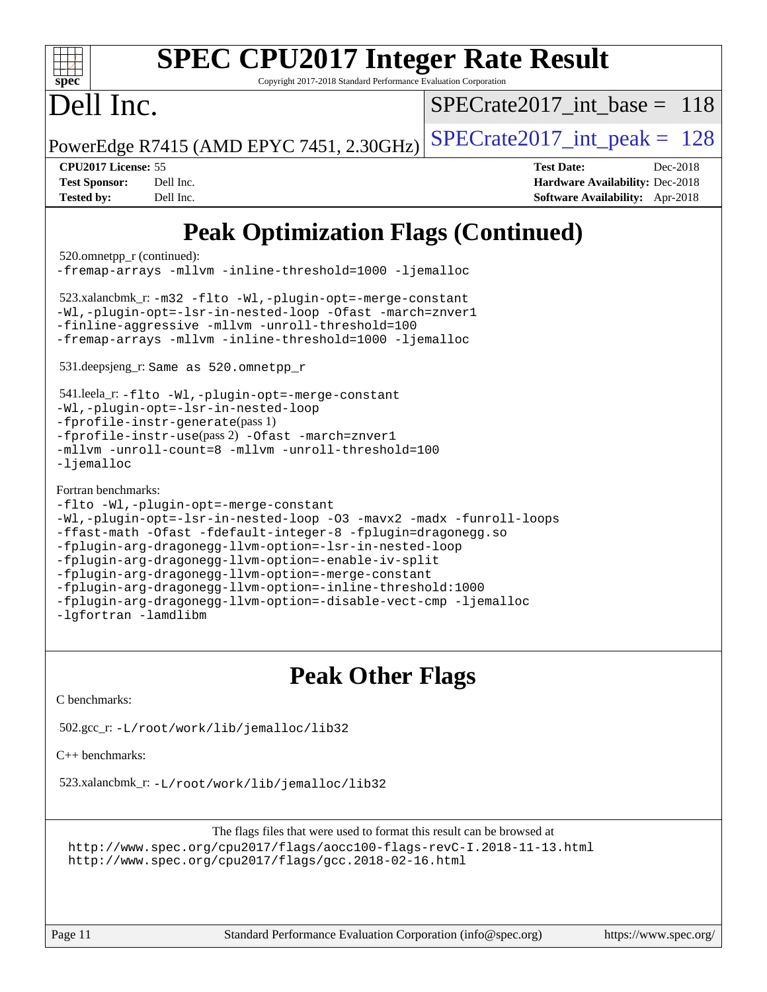| <b>SPEC CPU2017 Integer Rate Result</b><br>$spec^*$<br>Copyright 2017-2018 Standard Performance Evaluation Corporation                                                                                                                                                                                                                                                                                                                                                                                                                                                                                                                                                                       |                                                                                                            |
|----------------------------------------------------------------------------------------------------------------------------------------------------------------------------------------------------------------------------------------------------------------------------------------------------------------------------------------------------------------------------------------------------------------------------------------------------------------------------------------------------------------------------------------------------------------------------------------------------------------------------------------------------------------------------------------------|------------------------------------------------------------------------------------------------------------|
| Dell Inc.                                                                                                                                                                                                                                                                                                                                                                                                                                                                                                                                                                                                                                                                                    | $SPECrate2017$ int base = 118                                                                              |
| PowerEdge R7415 (AMD EPYC 7451, 2.30GHz)                                                                                                                                                                                                                                                                                                                                                                                                                                                                                                                                                                                                                                                     | $SPECTate2017\_int\_peak = 128$                                                                            |
| CPU2017 License: 55<br><b>Test Sponsor:</b><br>Dell Inc.<br><b>Tested by:</b><br>Dell Inc.                                                                                                                                                                                                                                                                                                                                                                                                                                                                                                                                                                                                   | <b>Test Date:</b><br>Dec-2018<br><b>Hardware Availability: Dec-2018</b><br>Software Availability: Apr-2018 |
| <b>Peak Optimization Flags (Continued)</b><br>520.omnetpp_r (continued):<br>-fremap-arrays -mllvm -inline-threshold=1000 -ljemalloc<br>$523.xalancbmk_r: -m32 -flto -Wl, -plugin-opt = -merge-constant$<br>-Wl,-plugin-opt=-lsr-in-nested-loop -Ofast -march=znver1<br>-finline-aggressive -mllvm -unroll-threshold=100<br>-fremap-arrays -mllvm -inline-threshold=1000 -ljemalloc<br>531.deepsjeng_r: Same as 520.omnetpp_r<br>541.leela_r: -flto -Wl,-plugin-opt=-merge-constant<br>-Wl,-plugin-opt=-lsr-in-nested-loop<br>$-$ fprofile-instr-generate(pass 1)<br>-fprofile-instr-use(pass 2) -Ofast -march=znver1<br>-mllvm -unroll-count=8 -mllvm -unroll-threshold=100<br>$-Ij$ emalloc |                                                                                                            |
| Fortran benchmarks:<br>-flto -Wl,-plugin-opt=-merge-constant                                                                                                                                                                                                                                                                                                                                                                                                                                                                                                                                                                                                                                 |                                                                                                            |

```
-Wl,-plugin-opt=-lsr-in-nested-loop -O3 -mavx2 -madx -funroll-loops
-ffast-math -Ofast -fdefault-integer-8 -fplugin=dragonegg.so
-fplugin-arg-dragonegg-llvm-option=-lsr-in-nested-loop
-fplugin-arg-dragonegg-llvm-option=-enable-iv-split
-fplugin-arg-dragonegg-llvm-option=-merge-constant
-fplugin-arg-dragonegg-llvm-option=-inline-threshold:1000
-fplugin-arg-dragonegg-llvm-option=-disable-vect-cmp -ljemalloc
-lgfortran -lamdlibm
```
## **[Peak Other Flags](http://www.spec.org/auto/cpu2017/Docs/result-fields.html#PeakOtherFlags)**

[C benchmarks](http://www.spec.org/auto/cpu2017/Docs/result-fields.html#Cbenchmarks):

502.gcc\_r: [-L/root/work/lib/jemalloc/lib32](http://www.spec.org/cpu2017/results/res2018q4/cpu2017-20181210-10151.flags.html#user_peakEXTRA_LIBS502_gcc_r_Link_path_ed592dae44e5c1ab08e0623a53d3c5a4c6e35be404d5d0c77aec9324965777ec819518e6bc9b505d0969c714b6f83ef377306a01beedec47148c3dcded825687)

[C++ benchmarks:](http://www.spec.org/auto/cpu2017/Docs/result-fields.html#CXXbenchmarks)

523.xalancbmk\_r: [-L/root/work/lib/jemalloc/lib32](http://www.spec.org/cpu2017/results/res2018q4/cpu2017-20181210-10151.flags.html#user_peakEXTRA_LIBS523_xalancbmk_r_Link_path_ed592dae44e5c1ab08e0623a53d3c5a4c6e35be404d5d0c77aec9324965777ec819518e6bc9b505d0969c714b6f83ef377306a01beedec47148c3dcded825687)

The flags files that were used to format this result can be browsed at <http://www.spec.org/cpu2017/flags/aocc100-flags-revC-I.2018-11-13.html> <http://www.spec.org/cpu2017/flags/gcc.2018-02-16.html>